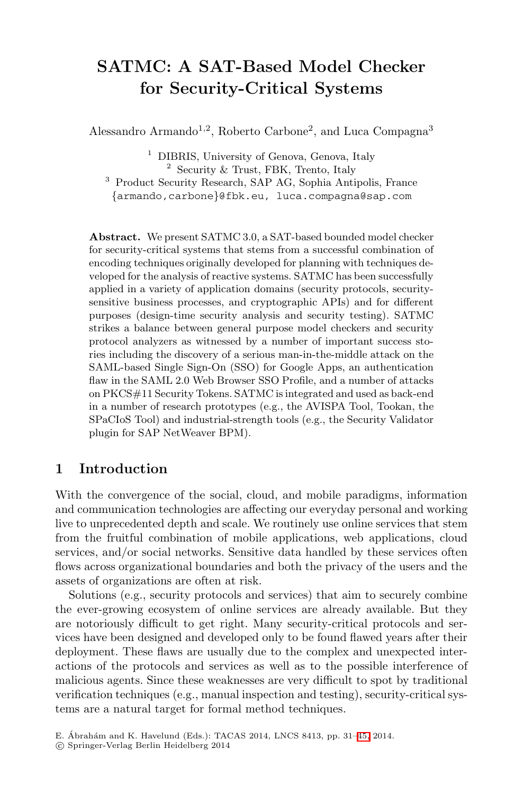# **SATMC: A SAT-Based Model Checker for Security-Critical Systems**

Alessandro Armando<sup>1,2</sup>, Roberto Carbone<sup>2</sup>, and Luca Compagna<sup>3</sup>

<sup>1</sup> DIBRIS, University of Genova, Genova, Italy <sup>2</sup> Security & Trust, FBK, Trento, Italy <sup>3</sup> Product Security Research, SAP AG, Sophia Antipolis, France {armando,carbone}@fbk.eu, luca.compagna@sap.com

**Abstract.** We present SATMC 3.0, a SAT-based bounded model checker for security-critical systems that stems from a successful combination of encoding techniques originally developed for planning with techniques developed for the analysis of reactive systems. SATMC has been successfully applied in a variety of application domains (security protocols, securitysensitive business processes, and cryptographic APIs) and for different purposes (design-time security analysis and security testing). SATMC strikes a balance between general purpose model checkers and security protocol analyzers as witnessed by a number of important success stories including the discovery of a serious man-in-the-middle attack on the SAML-based Single Sign-On (SSO) for Google Apps, an authentication flaw in the SAML 2.0 Web Browser SSO Profile, and a number of attacks on PKCS#11 Security Tokens. SATMC is integrated and used as back-end in a number of research prototypes (e.g., the AVISPA Tool, Tookan, the SPaCIoS Tool) and industrial-strength tools (e.g., the Security Validator plugin for SAP NetWeaver BPM).

## **1 Introduction**

With the convergence of the social, cloud, and mobile paradigms, information and communication technologies are affecting our everyday personal and working live to unprecedented depth and scale. We routinely use online services that stem from the fruitful combination of mobile applications, web applications, cloud services, and/or social networks. Sensitive data handled by these services often flows across organizational boundaries and both the privacy of the users and the assets of organizations are often at risk.

Solutions (e.g., security protocols and services) that aim to securely combine the ever-growing ecosystem of online services are already available. But they are notoriously difficult to get right. M[any](#page-14-0) security-critical protocols and services have been designed and developed only to be found flawed years after their deployment. These flaws are usually due to the complex and unexpected interactions of the protocols and services as well as to the possible interference of malicious agents. Since these weaknesses are very difficult to spot by traditional verification techniques (e.g., manual inspection and testing), security-critical systems are a natural target for formal method techniques.

E. Ábrahám and K. Havelund (Eds.): TACAS 2014, LNCS 8413, pp. 31–45, 2014.

<sup>-</sup>c Springer-Verlag Berlin Heidelberg 2014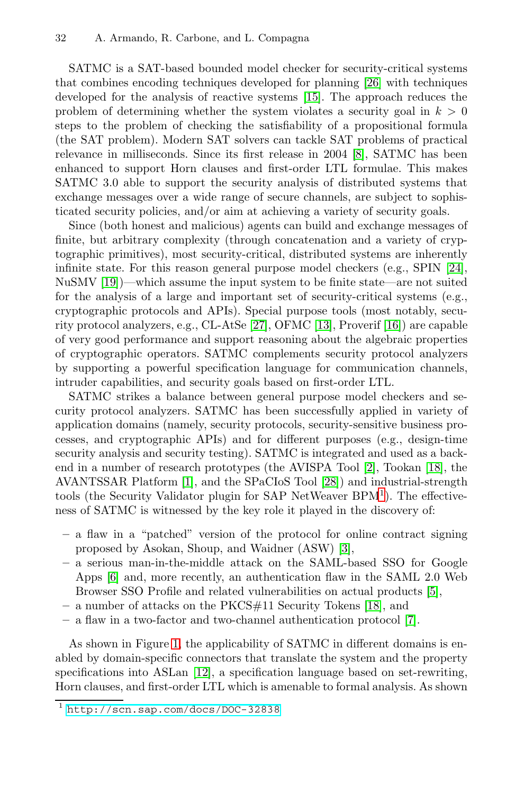SATMC is a SAT-based bounded model checker for security-critical systems that combines encoding techniques developed for planning [26] with techniques developed for the analysis of reactive systems [15]. The approach reduces the problem of determining whether the system violates a security goal in  $k > 0$ steps to the problem of checking the satisfiability of a propositional formula (the SAT problem). Modern SAT solvers can tackle SAT problems of practical relevance in milliseconds. Since its first release in 2004 [\[8\],](#page-14-1) SATMC has been enhanced to support Horn clauses and first-order LTL formulae. This makes SATMC 3.0 able to support the security analysis of distributed systems that exchange messages over a wide range of secure channels, are subject to sophisticated security pol[icies](#page-14-2), and/or [aim](#page-14-3) at achie[ving](#page-14-4) a variety of security goals.

Since (both honest and malicious) agents can build and exchange messages of finite, but arbitrary complexity (through concatenation and a variety of cryptographic primitives), most security-critical, distributed systems are inherently infinite state. For this reason general purpose model checkers (e.g., SPIN [24], NuSMV [19])—which assume the input system to be finite state—are not suited for the analysis of a large and important set of security-critical systems (e.g., cryptographic protocols and APIs). Special purpose tools (most notably, security protocol analyzers, e.g., CL-AtSe [27], OFMC [13], Proverif [16]) are capable of very good performance and support reasoning about the algebraic properties of cryptographic operators. SATMC co[mpl](#page-13-1)ements s[ecur](#page-14-5)ity protocol analyzers by su[ppo](#page-13-2)rting a powerful specifi[cati](#page-14-6)on language for communication channels, intruder capabilities, and security goals bas[ed](#page-1-0) on first-order LTL.

SATMC strikes a balance between general purpose model checkers and security protocol analyzers. SATMC has been successfully applied in variety of application domains (namely, security protocols, security-sensitive business processes, and cryptographic APIs) an[d](#page-13-3) for different purposes (e.g., design-time security analysis and security testing). SATMC is integrated and used as a backend in a number of research prototypes (the AVISPA Tool [2], Tookan [18], the AVANTSSAR Platform [1], and the SPaCIoS Tool [2[8\]\)](#page-13-4) and industrial-strength tools (the Security Validator plugin for S[AP](#page-14-5) NetWeaver  $BPM<sup>1</sup>$ ). The effectiveness of SATMC is witnessed by the key role it pl[aye](#page-13-5)d in the discovery of:

- <span id="page-1-0"></span>**–** [a fl](#page-2-0)aw in a "patched" version of the protocol for online contract signing proposed by Asokan, Shoup, and Waidner (ASW) [3],
- **–** a ser[iou](#page-14-7)s man-in-the-middle attack on the SAML-based SSO for Google Apps [6] and, more recently, an authentication flaw in the SAML 2.0 Web Browser SSO Profile and related vulnerabilities on actual products [5],
- **–** [a](http://scn.sap.com/docs/DOC-32838) [number](http://scn.sap.com/docs/DOC-32838) [of](http://scn.sap.com/docs/DOC-32838) [attacks](http://scn.sap.com/docs/DOC-32838) [o](http://scn.sap.com/docs/DOC-32838)n the PKCS#11 Security Tokens [18], and
- **–** a flaw in a two-factor and two-channel authentication protocol [7].

As shown in Figure 1, the applicability of SATMC in different domains is enabled by domain-specific connectors that translate the system and the property specifications into ASLan [12], a specification language based on set-rewriting, Horn clauses, and first-order LTL which is amenable to formal analysis. As shown

<sup>1</sup> http://scn.sap.com/docs/DOC-32838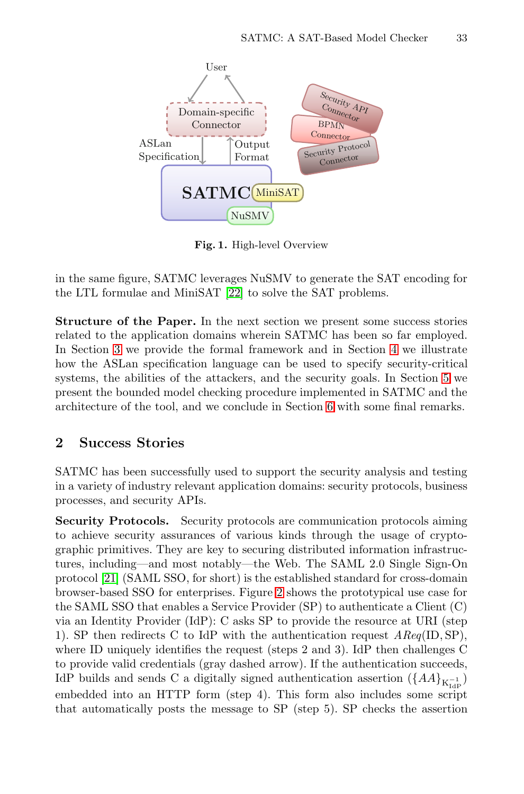<span id="page-2-0"></span>

**Fig. 1.** High-level O[ver](#page-7-0)view

in the same figure, SATMC leverages NuSMV to generat[e](#page-9-0) [t](#page-9-0)he SAT encoding for the LTL formulae and MiniSAT [[22\]](#page-13-6) to solve the SAT problems.

**Structure of the Paper.** In the next section we present some success stories related to the application domains wherein SATMC has been so far employed. In Section 3 we provide the formal framework and in Section 4 we illustrate how the ASLan specification language can be used to specify security-critical systems, the abilities of the attackers, and the security goals. In Section 5 we present the bounded model checking procedure implemented in SATMC and the architecture of the tool, and we conclude in Section 6 with some final remarks.

### **2 Success Stories**

SATMC has been successfully used to support the security analysis and testing in a variety of industry r[ele](#page-3-0)vant application domains: security protocols, business processes, and security APIs.

**Security Protocols.** Security protocols are communication protocols aiming to achieve security assurances of various kinds through the usage of cryptographic primitives. They are key to securing distributed information infrastructures, including—and most notably—the Web. The SAML 2.0 Single Sign-On protocol [21] (SAML SSO, for short) is the established standard for cross-domain browser-based SSO for enterprises. Figure 2 shows the prototypical use case for the SAML SSO that enables a Service Provider (SP) to authenticate a Client (C) via an Identity Provider (IdP): C asks SP to provide the resource at URI (step 1). SP then redirects C to IdP with the authentication request *AReq*(ID, SP), where ID uniquely identifies the request (steps 2 and 3). IdP then challenges C to provide valid credentials (gray dashed arrow). If the authentication succeeds, IdP builds and sends C a digitally signed authentication assertion  $({A}A)_{K_{\text{Ldp}}}$ embedded into an HTTP form (step 4). This form also includes some script that automatically posts the message to SP (step 5). SP checks the assertion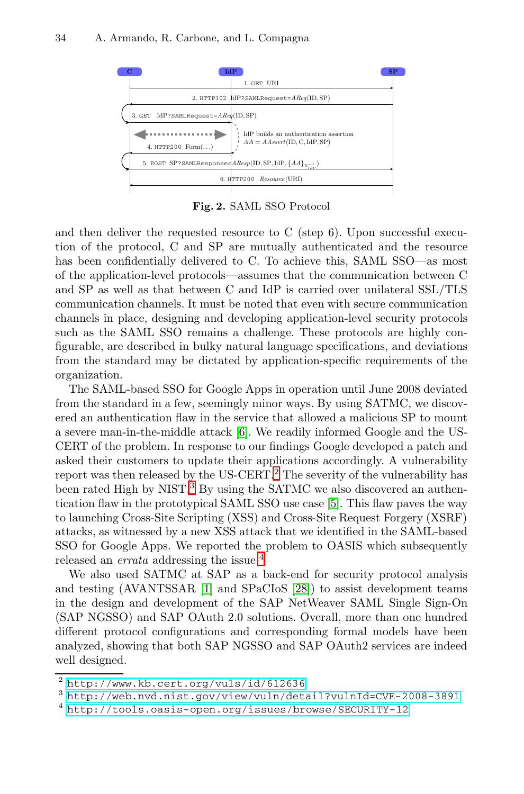<span id="page-3-0"></span>

**Fig. 2.** SAML SSO Protocol

and then deliver the requested resource to C (step 6). Upon successful execution of the protocol, C and SP are mutually authenticated and the resource has been confidentially delivered to C. To achieve this, SAML SSO—as most of the application-level protocols—assumes that the communication between C and SP as well as that between C and IdP is carried over unilateral SSL/TLS communication channels. It must be noted that even with secure communication channels in place[, d](#page-13-7)esigning and developing application-level security protocols such as the SAML SSO remains a challenge. These protocols are highly configurable, are described in bulky natural language specifications, and deviations from the standard may [b](#page-3-1)e dictated by application-specific requirements of the organiz[at](#page-3-2)ion.

The SAML-based SSO for Goog[le](#page-13-4) Apps in operation until June 2008 deviated from the standard in a few, seemingly minor ways. By using SATMC, we discovered an authentication flaw in the service that allowed a malicious SP to mount a severe man-in-the-middle attack [6]. We readily informed Google and the US-CERT of the proble[m.](#page-3-3) In response to our findings Google developed a patch and asked their customers to update their applications accordingly. A vulnerability report was [th](#page-13-2)en released by [the](#page-14-6) US-CERT.<sup>2</sup> The severity of the vulnerability has been rated High by NIST.<sup>3</sup> By using the SATMC we also discovered an authentication flaw in the prototypical SAML SSO use case [5]. This flaw paves the way to launching Cross-Site Scripting (XSS) and Cross-Site Request Forgery (XSRF) attacks, as witnessed by a new XSS attack that we identified in the SAML-based SSO for Google Apps. We reported the problem to OASIS which subsequently released an *errata* addressing the issue.<sup>4</sup>

<span id="page-3-3"></span><span id="page-3-2"></span><span id="page-3-1"></span>[We also used SATMC at S](http://www.kb.cert.org/vuls/id/612636)AP as a back-end for security protocol analysis [and testing \(AVANTSSAR \[1\] and SPaCIoS \[28\]\) to assist](http://web.nvd.nist.gov/view/vuln/detail?vulnId=CVE-2008-3891) development teams [in the design and development of the SAP NetW](http://tools.oasis-open.org/issues/browse/SECURITY-12)eaver SAML Single Sign-On (SAP NGSSO) and SAP OAuth 2.0 solutions. Overall, more than one hundred different protocol configurations and corresponding formal models have been analyzed, showing that both SAP NGSSO and SAP OAuth2 services are indeed well designed.

<sup>2</sup> http://www.kb.cert.org/vuls/id/612636

<sup>3</sup> http://web.nvd.nist.gov/view/vuln/detail?vulnId=CVE-2008-3891

<sup>4</sup> http://tools.oasis-open.org/issues/browse/SECURITY-12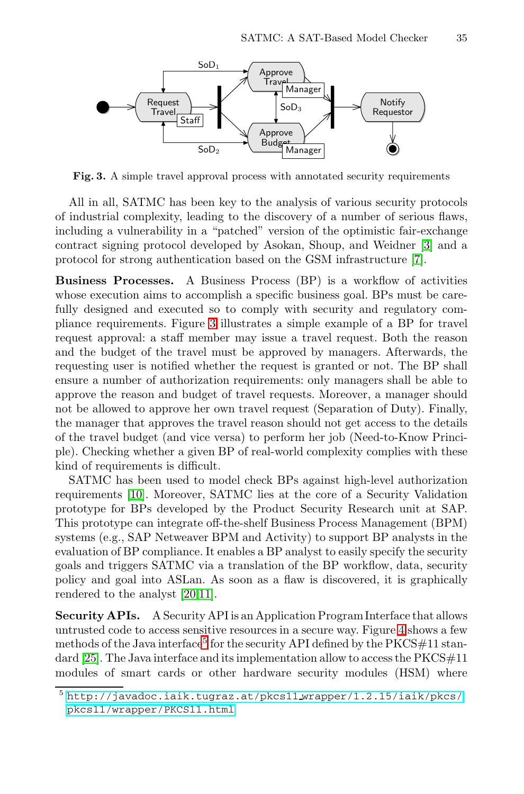<span id="page-4-0"></span>

Fig. 3. A simple travel approval process with annotated security requirements

All in all, SATMC has been key to the analysis of various security protocols of industri[al](#page-4-0) [c](#page-4-0)omplexity, leading to the discovery of a number of serious flaws, including a vulnerability in a "patched" version of the optimistic fair-exchange contract signing protocol developed by Asokan, Shoup, and Weidner [3] and a protocol for strong authentication based on the GSM infrastructure [7].

**Business Processes.** A Business Process (BP) is a workflow of activities whose execution aims to accomplish a specific business goal. BPs must be carefully designed and executed so to comply with security and regulatory compliance requirements. Figure 3 illustrates a simple example of a BP for travel request approval: a staff member may issue a travel request. Both the reason and the budget of the travel must be approved by managers. Afterwards, the requesting user is notified whether the request is granted or not. The BP shall ensure a number of authorization requirements: only managers shall be able to approve the reason and budget of travel requests. Moreover, a manager should not be allowed to approve her own travel request (Separation of Duty). Finally, the manager that approves the travel reason should not get access to the details of the travel budget (and vice versa) to perform her job (Need-to-Know Principle). Checking whether a given BP of real-world complexity complies with these kind of requirements is difficult.

<span id="page-4-1"></span>SA[TM](#page-14-8)[C h](#page-14-9)as been used to model check BPs against high-level authorization requirements [10]. Moreover, SATMC lies at the core of a Security Validation prototype for BPs developed by the Product Security Research unit at SAP. This prototype can integrate off-the-shelf Busin[ess](#page-5-0) Process Management (BPM) systems ([e.g](#page-4-1)., SAP Netweaver BPM and Activity) to support BP analysts in the evaluation of BP compliance. It enables a BP analyst to easily specify the security goals and triggers SATMC via a translation of the BP workflow, data, security [policy and goal into ASLan. As soon as a flaw is discovered](http://javadoc.iaik.tugraz.at/pkcs11_wrapper/1.2.15/iaik/pkcs/pkcs11/wrapper/PKCS11.html), it is graphically [rendered to the a](http://javadoc.iaik.tugraz.at/pkcs11_wrapper/1.2.15/iaik/pkcs/pkcs11/wrapper/PKCS11.html)nalyst [20,11].

**Security APIs.** A Security API is an Application Program Interface that allows untrusted code to access sensitive resources in a secure way. Figure 4 shows a few methods of the Java interface<sup>5</sup> for the security API defined by the  $PKCS#11$  standard  $[25]$ . The Java interface and its implementation allow to access the  $PKCS#11$ modules of smart cards or other hardware security modules (HSM) where

 $5$ http://javadoc.iaik.tugraz.at/pkcs11\_wrapper/1.2.15/iaik/pkcs/ pkcs11/wrapper/PKCS11.html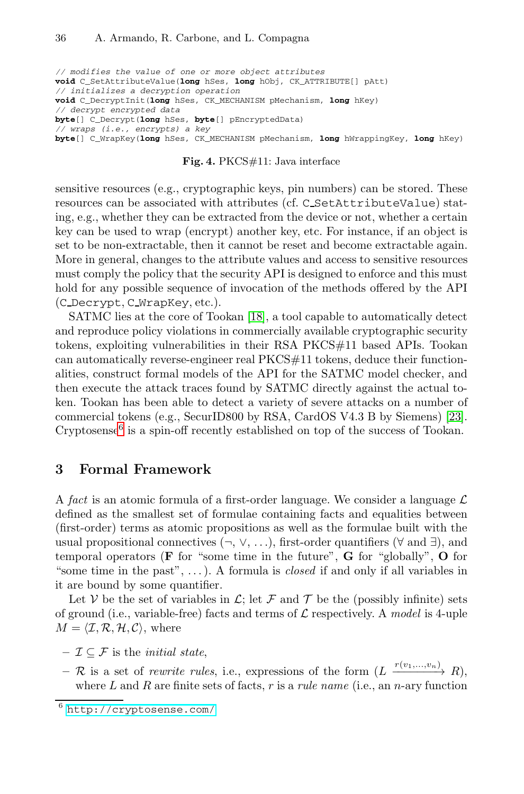<span id="page-5-0"></span>// modifies the value of one or more object attributes **void** C\_SetAttributeValue(**long** hSes, **long** hObj, CK\_ATTRIBUTE[] pAtt) // initializes <sup>a</sup> decryption operation **void** C\_DecryptInit(**long** hSes, CK\_MECHANISM pMechanism, **long** hKey) // decrypt encrypted data **byte**[] C\_Decrypt(**long** hSes, **byte**[] pEncryptedData) // wraps (i.e., encrypts) <sup>a</sup> key **byte**[] C\_WrapKey(**long** hSes, CK\_MECHANISM pMechanism, **long** hWrappingKey, **long** hKey)

**Fig. 4.** PKCS#11: Java interface

sensitive resources (e.g., cryptographic keys, pin numbers) can be stored. These resources can be as[soc](#page-14-5)iated with attributes (cf. C SetAttributeValue) stating, e.g., whether they can be extracted from the device or not, whether a certain key can be used to wrap (encrypt) another key, etc. For instance, if an object is set to be non-extractable, then it cannot be reset and become extractable again. More in general, changes to the attribute values and access to sensitive resources must comply the policy that the security API is designed to enforce and this must hold for any possible sequence of invocation of the methods offered by the API (C Decrypt, C WrapKey, etc.).

SATMC lies at the core of Tookan [18], a tool capable t[o](#page-14-10) [au](#page-14-10)tomatically detect and reproduce policy violations in commercially available cryptographic security tokens, exploiting vulnerabilities in their RSA PKCS#11 based APIs. Tookan can automatically reverse-engineer real PKCS#11 tokens, deduce their functionalities, construct formal models of the API for the SATMC model checker, and then execute the attack traces found by SATMC directly against the actual token. Tookan has been able to detect a variety of severe attacks on a number of commercial tokens (e.g., SecurID800 by RSA, CardOS V4.3 B by Siemens) [23]. Cryptosense<sup>6</sup> is a spin-off recently established on top of the success of Tookan.

# **3 Formal Framework**

A *fact* is an atomic formula of a first-order language. We consider a language L defined as the smallest set of formulae containing facts and equalities between (first-order) terms as atomic propositions as well as the formulae built with the usual propositional connectives  $(\neg, \vee, \ldots)$ , first-order quantifiers  $(\forall \text{ and } \exists)$ , and temporal operators (**F** for "some time in the future", **G** for "globally", **O** for "some time in the past", . . . ). A formula is *closed* if and only if all variables in it are bound by some quantifier.

Let V [be t](http://cryptosense.com/)he set of variables in  $\mathcal{L}$ ; let F and T be the (possibly infinite) sets of ground (i.e., variable-free) facts and terms of  $\mathcal L$  respectively. A *model* is 4-uple  $M = \langle \mathcal{I}, \mathcal{R}, \mathcal{H}, \mathcal{C} \rangle$ , where

**–** I⊆F is the *initial state*,

 $- \mathcal{R}$  is a set of *rewrite rules*, i.e., expressions of the form  $(L \xrightarrow{r(v_1,...,v_n)} R)$ , where L and R are finite sets of facts, r is a *rule name* (i.e., an *n*-ary function

<sup>6</sup> http://cryptosense.com/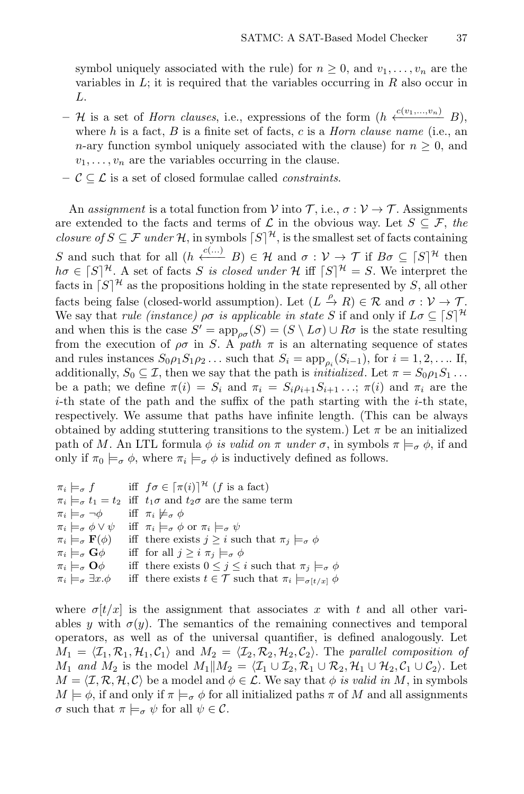symbol uniquely associated with the rule) for  $n \geq 0$ , and  $v_1, \ldots, v_n$  are the variables in  $L$ ; it is required that the variables occurring in  $R$  also occur in L.

- $-$  H is a set of *Horn clauses*, i.e., expressions of the form  $(h \xleftarrow{c(v_1,...,v_n)} B)$ , where h is a fact, B is a finite set of facts, c is a *Horn clause name* (i.e., an n-ary function symbol uniquely associated with the clause) for  $n > 0$ , and  $v_1, \ldots, v_n$  are the variables occurring in the clause.
- **–** C⊆L is a set of closed formulae called *constraints*.

An *assignment* is a total function from V into T, i.e.,  $\sigma : \mathcal{V} \to \mathcal{T}$ . Assignments are extended to the facts and terms of  $\mathcal L$  in the obvious way. Let  $S \subseteq \mathcal F$ , the *closure of*  $S \subseteq \mathcal{F}$  *under*  $\mathcal{H}$ , in symbols  $[S]^{\mathcal{H}}$ , is the smallest set of facts containing S and such that for all  $(h \stackrel{c(...)}{\longleftrightarrow} B) \in \mathcal{H}$  and  $\sigma : \mathcal{V} \to \mathcal{T}$  if  $B\sigma \subseteq [S]^{\mathcal{H}}$  then  $h\sigma \in [S]^{\mathcal{H}}$ . A set of facts S is closed under H iff  $[S]^{\mathcal{H}} = S$ . We interpret the facts in  $[S]^{\mathcal{H}}$  as the propositions holding in the state represented by S, all other facts being false (closed-world assumption). Let  $(L \xrightarrow{\rho} R) \in \mathcal{R}$  and  $\sigma : \mathcal{V} \to \mathcal{T}$ . We say that *rule (instance)*  $\rho \sigma$  *is applicable in state* S if and only if  $L \sigma \subseteq [S]^{\mathcal{H}}$ and when this is the case  $S' = \text{app}_{\text{cor}}(S) = (S \setminus L\sigma) \cup R\sigma$  is the state resulting from the execution of  $\rho\sigma$  in S. A *path*  $\pi$  is an alternating sequence of states and rules instances  $S_0 \rho_1 S_1 \rho_2 \ldots$  such that  $S_i = \text{app}_{\rho_i}(S_{i-1})$ , for  $i = 1, 2, \ldots$  If, additionally,  $S_0 \subseteq \mathcal{I}$ , then we say that the path is *initialized*. Let  $\pi = S_0 \rho_1 S_1 \dots$ be a path; we define  $\pi(i) = S_i$  and  $\pi_i = S_i \rho_{i+1} S_{i+1} \ldots; \pi(i)$  and  $\pi_i$  are the  $i$ -th state of the path and the suffix of the path starting with the  $i$ -th state, respectively. We assume that paths have infinite length. (This can be always obtained by adding stuttering transitions to the system.) Let  $\pi$  be an initialized path of M. An LTL formula  $\phi$  *is valid on*  $\pi$  *under*  $\sigma$ , in symbols  $\pi \models_{\sigma} \phi$ , if and only if  $\pi_0 \models_{\sigma} \phi$ , where  $\pi_i \models_{\sigma} \phi$  is inductively defined as follows.

 $\pi_i \models_{\sigma} f$  iff  $f \sigma \in [\pi(i)]^{\mathcal{H}}$  (f is a fact)  $\pi_i \models_{\sigma} t_1 = t_2$  iff  $t_1 \sigma$  and  $t_2 \sigma$  are the same term<br>  $\pi_i \models_{\sigma} \neg \phi$  iff  $\pi_i \not\models_{\sigma} \phi$  $\pi_i \models_{\sigma} \neg \phi$  iff  $\pi_i \not\models_{\sigma} \phi$ <br>  $\pi_i \models_{\sigma} \phi \lor \psi$  iff  $\pi_i \models_{\sigma} \phi$  $\pi_i \models_{\sigma} \phi \lor \psi$  iff  $\pi_i \models_{\sigma} \phi$  or  $\pi_i \models_{\sigma} \psi$ <br>  $\pi_i \models_{\sigma} \mathbf{F}(\phi)$  iff there exists  $j \geq i$  su  $\pi_i \models_{\sigma} \mathbf{F}(\phi)$  iff there exists  $j \geq i$  such that  $\pi_j \models_{\sigma} \phi$ <br>  $\pi_i \models_{\sigma} \mathbf{G}\phi$  iff for all  $j \geq i$   $\pi_j \models_{\sigma} \phi$  $\pi_i \models_{\sigma} \mathbf{G}\phi$  iff for all  $j \geq i \pi_j \models_{\sigma} \phi$ <br>  $\pi_i \models_{\sigma} \mathbf{O}\phi$  iff there exists  $0 \leq j \leq j$  $\pi_i \models_{\sigma} \mathsf{O}\phi$  iff there exists  $0 \leq j \leq i$  such that  $\pi_j \models_{\sigma} \phi$ <br>  $\pi_i \models_{\sigma} \exists x.\phi$  iff there exists  $t \in \mathcal{T}$  such that  $\pi_i \models_{\sigma[t/x]} \phi$ iff there exists  $t \in \mathcal{T}$  such that  $\pi_i \models_{\sigma[t/x]} \phi$ 

where  $\sigma[t/x]$  is the assignment that associates x with t and all other variables y with  $\sigma(y)$ . The semantics of the remaining connectives and temporal operators, as well as of the universal quantifier, is defined analogously. Let  $M_1 = \langle \mathcal{I}_1, \mathcal{R}_1, \mathcal{H}_1, \mathcal{C}_1 \rangle$  and  $M_2 = \langle \mathcal{I}_2, \mathcal{R}_2, \mathcal{H}_2, \mathcal{C}_2 \rangle$ . The *parallel composition of*  $M_1$  *and*  $M_2$  is the model  $M_1||M_2 = \langle \mathcal{I}_1 \cup \mathcal{I}_2, \mathcal{R}_1 \cup \mathcal{R}_2, \mathcal{H}_1 \cup \mathcal{H}_2, \mathcal{C}_1 \cup \mathcal{C}_2 \rangle$ . Let  $M = \langle \mathcal{I}, \mathcal{R}, \mathcal{H}, \mathcal{C} \rangle$  be a model and  $\phi \in \mathcal{L}$ . We say that  $\phi$  *is valid in* M, in symbols  $M \models \phi$ , if and only if  $\pi \models_{\sigma} \phi$  for all initialized paths  $\pi$  of M and all assignments *σ* such that  $π \models σ ψ$  for all  $ψ ∈ C$ .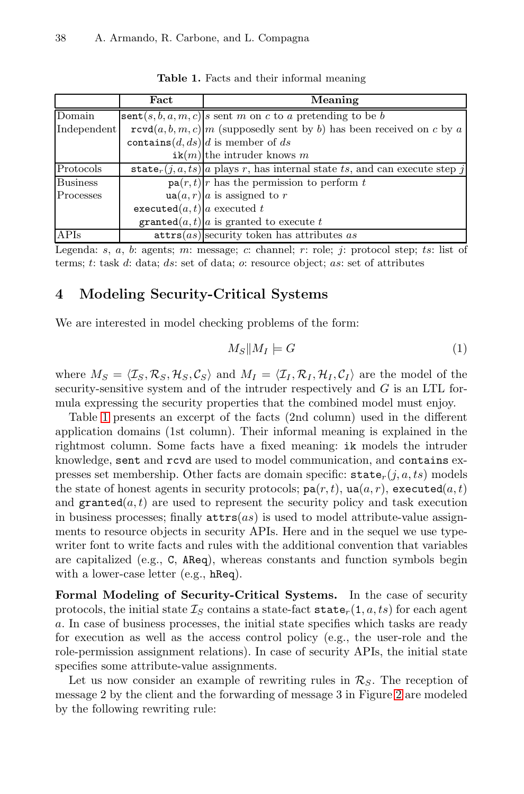<span id="page-7-0"></span>

|                 | $_{\rm Fact}$                 | Meaning                                                                          |
|-----------------|-------------------------------|----------------------------------------------------------------------------------|
| Domain          |                               | $\texttt{sent}(s, b, a, m, c)$ sent m on c to a pretending to be b               |
| Independent     |                               | $\texttt{rcvd}(a, b, m, c)$ m (supposedly sent by b) has been received on c by a |
|                 |                               | contains $(d, ds)$ is member of ds                                               |
|                 |                               | $ik(m)$ the intruder knows m                                                     |
| Protocols       |                               | state $r(j, a, ts)$ a plays r, has internal state ts, and can execute step j     |
| <b>Business</b> |                               | $\mathbf{pa}(r,t)$ r has the permission to perform t                             |
| Processes       |                               | $\mathbf{u}\mathbf{a}(a,r)$ a is assigned to r                                   |
|                 | executed $(a,t)$ a executed t |                                                                                  |
|                 |                               | $\texttt{granted}(a, t)   a$ is granted to execute t                             |
| APIs            |                               | $\mathsf{attrs}(as)$ security token has attributes as                            |

**Table 1.** Facts and their informal meaning

Legenda:  $s, a, b:$  agents; m: message; c: channel; r: role; j: protocol step; ts: list of terms; t: task d: data; ds: set of data; o: resource object; as: set of attributes

# **4 Modeling Security-Critical Systems**

We are interested in model checking problems of the form:

$$
M_S \parallel M_I \models G \tag{1}
$$

where  $M_S = \langle \mathcal{I}_S, \mathcal{R}_S, \mathcal{H}_S, \mathcal{C}_S \rangle$  and  $M_I = \langle \mathcal{I}_I, \mathcal{R}_I, \mathcal{H}_I, \mathcal{C}_I \rangle$  are the model of the security-sensitive system and of the intruder respectively and  $G$  is an LTL formula expressing the security properties that the combined model must enjoy.

Table 1 presents an excerpt of the facts (2nd column) used in the different application domains (1st column). Their informal meaning is explained in the rightmost column. Some facts have a fixed meaning: ik models the intruder knowledge, sent and rcvd are used to model communication, and contains expresses set membership. Other facts are domain specific:  $state_r(j, a, ts)$  models the state of honest agents in security protocols;  $pa(r, t)$ ,  $ua(a, r)$ , executed(a, t) and granted $(a, t)$  are used to represent the security policy and task execution in business processes; finally  $\text{attrs}(as)$  is used to model attribute-value assignments to resource objects in security APIs. Here and in the sequel we use typewriter font to write facts and rules with the additional convention that variables are capitalized (e.g., C, AReq), whereas constants and function symbols begin with a lower-case letter (e.g., hReq).

Formal Modeling of Security-Critical Sy[st](#page-3-0)ems. In the case of security protocols, the initial state  $\mathcal{I}_S$  contains a state-fact state<sub>r</sub>(1, a, ts) for each agent a. In case of business processes, the initial state specifies which tasks are ready for execution as well as the access control policy (e.g., the user-role and the role-permission assignment relations). In case of security APIs, the initial state specifies some attribute-value assignments.

Let us now consider an example of rewriting rules in  $\mathcal{R}_S$ . The reception of message 2 by the client and the forwarding of message 3 in Figure 2 are modeled by the following rewriting rule: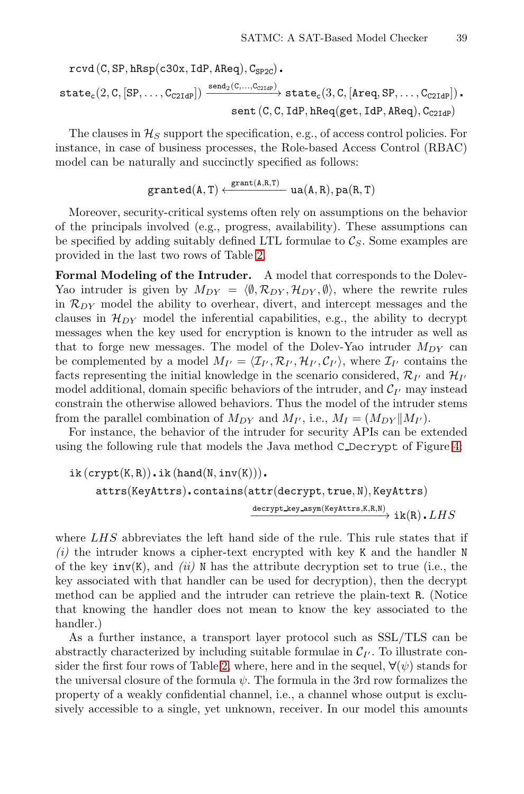$\texttt{rcvd} \left(\texttt{C}, \texttt{SP}, \texttt{hRsp}(\texttt{c30x}, \texttt{IdP}, \texttt{AReq}), \texttt{C}_{\texttt{SP2C}} \right)$  .  $\texttt{state}_\texttt{c}(2, \texttt{C}, \texttt{[SP}, \dots, \texttt{C}_{\texttt{C2IdP}})) \xrightarrow{\texttt{send}_2(\texttt{C}, \dots, \texttt{C}_{\texttt{C2IdP}})} \texttt{state}_\texttt{c}(3, \texttt{C}, \texttt{[Area, SP}, \dots, \texttt{C}_{\texttt{C2IdP}}])$  $sent(C, C, IdP, hReg(get, IdP, AReq), C<sub>C2IdP</sub>)$ 

The clauses in  $\mathcal{H}_S$  support the specification, e.g., of access control policies. For instance, in case of [bu](#page-9-1)siness processes, the Role-based Access Control (RBAC) model can be naturally and succinctly specified as follows:

$$
granted(A,T) \xleftarrow{grant(A,R,T)} {ua(A,R), pa(R,T)}
$$

Moreover, security-critical systems often rely on assumptions on the behavior of the principals involved (e.g., progress, availability). These assumptions can be specified by adding suitably defined LTL formulae to  $\mathcal{C}_S$ . Some examples are provided in the last two rows of Table 2.

**Formal Modeling of the Intruder.** A model that corresponds to the Dolev-Yao intruder is given by  $M_{DY} = \langle \emptyset, \mathcal{R}_{DY}, \mathcal{H}_{DY}, \emptyset \rangle$ , where the rewrite rules in  $\mathcal{R}_{DY}$  model the ability to overhear, divert, and intercept messages and the clauses in  $\mathcal{H}_{DY}$  model the inferential capabilities, e.g., the ability to decrypt messages when the key used for encryption is known to t[he](#page-5-0) intruder as well as that to forge new messages. The model of the Dolev-Yao intruder  $M_{DY}$  can be complemented by a model  $M_{I'} = \langle \mathcal{I}_{I'}, \mathcal{R}_{I'}, \mathcal{H}_{I'}, \mathcal{C}_{I'} \rangle$ , where  $\mathcal{I}_{I'}$  contains the facts representing the initial knowledge in the scenario considered,  $\mathcal{R}_{I'}$  and  $\mathcal{H}_{I'}$ model additional, domain specific behaviors of the intruder, and  $C_{I'}$  may instead constrain the otherwise allowed behaviors. Thus the model of the intruder stems from the parallel combination of  $M_{DY}$  and  $M_{I'}$ , i.e.,  $M_{I} = (M_{DY}||M_{I'})$ .

For instance, the behavior of the intruder for security APIs can be extended using the following rule that models the Java method C Decrypt of Figure 4:

 $ik(crypt(K,R))$ . ik  $(hand(N, inv(K)))$ . attrs(KeyAttrs)- contains(attr(decrypt, true, N), KeyAttrs)  $\xrightarrow{\text{decrypt\_key\_asym(KeyAttrs}, K, R, N)} \text{ik}(R) \cdot LHS$ 

where LHS abbreviates the left hand side of the rule. This rule states that if *(i)* the intru[der](#page-9-1) knows a cipher-text encrypted with key K and the handler N of the key inv(K), and *(ii)* N has the attribute decryption set to true (i.e., the key associated with that handler can be used for decryption), then the decrypt method can be applied and the intruder can retrieve the plain-text R. (Notice that knowing the handler does not mean to know the key associated to the handler.)

As a further instance, a transport layer protocol such as SSL/TLS can be abstractly characterized by including suitable formulae in  $\mathcal{C}_{I'}$ . To illustrate consider the first four rows of Table 2, where, here and in the sequel,  $\forall(\psi)$  stands for the universal closure of the formula  $\psi$ . The formula in the 3rd row formalizes the property of a weakly confidential channel, i.e., a channel whose output is exclusively accessible to a single, yet unknown, receiver. In our model this amounts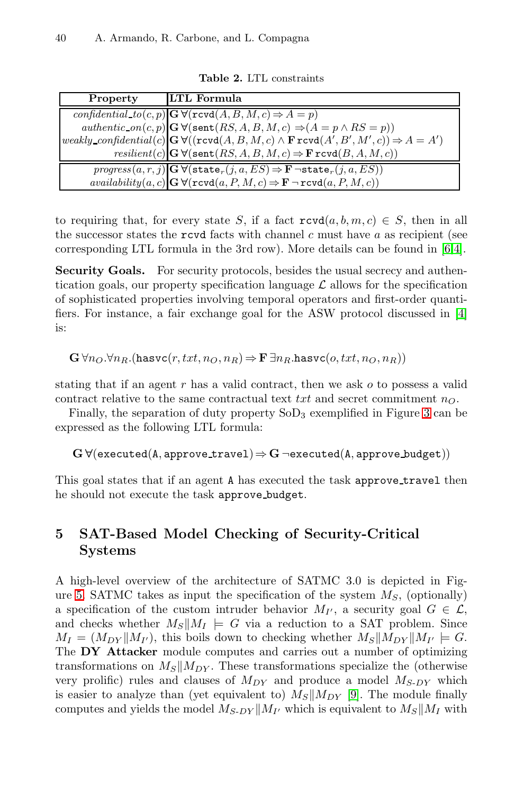<span id="page-9-1"></span>

| Property | LTL Formula                                                                                                                                                        |
|----------|--------------------------------------------------------------------------------------------------------------------------------------------------------------------|
|          | confidential $to(c, p)$ $\mathbf{G} \forall(\text{rcvd}(A, B, M, c) \Rightarrow A = p)$                                                                            |
|          | $\label{eq:subt} \textit{authentic\_on}(c,p) \big  \mathbf{G}\, \forall (\texttt{sent}(\textit{RS},A,B,M,c) \Rightarrow \hspace{-3pt} (A=p \wedge \textit{RS}=p))$ |
|          | weakly_confidential(c) $\mathbf{G} \forall ((\texttt{rcvd}(A, B, M, c) \land \mathbf{F} \texttt{rcvd}(A', B', M', c)) \Rightarrow A = A')$                         |
|          | $resilient(c)$ $\mathbf{G} \forall (\texttt{sent}(RS, A, B, M, c) \Rightarrow \mathbf{F} \texttt{rcvd}(B, A, M, c))$                                               |
|          | $\overline{progress(a,r,j)}$ G $\forall$ (state <sub>r</sub> $(j,a,ES) \Rightarrow$ F $\neg$ state <sub>r</sub> $(j,a,ES)$ )                                       |
|          | <i>availability</i> $(a, c)$ $\mathbf{G} \forall (\text{rcvd}(a, P, M, c) \Rightarrow \mathbf{F} \neg \text{rcvd}(a, P, M, c))$                                    |

to requiring that, for every state S, if a fact  $\text{rcvd}(a, b, m, c) \in S$ , then in all the successor states the rcvd facts with channel  $c$  must have  $a$  as recipient (see corresponding LTL formula in the 3rd row). More details can be found in [6,4].

<span id="page-9-0"></span>**Security Goals.** For security protocols, besides the usual secrecy and authentication goals, our property specification language  $\mathcal L$  allows for the specification of sophisticated properties involving temporal opera[to](#page-4-0)rs and first-order quantifiers. For instance, a fair exchange goal for the ASW protocol discussed in [4] is:

 $\mathbf{G} \forall n_Q. \forall n_R.$ (hasvc $(r, txt, n_Q, n_R) \Rightarrow \mathbf{F} \exists n_R.$ hasvc $(o, txt, n_Q, n_R)$ )

stating that if an agent r has a valid contract, then we ask  $\sigma$  to possess a valid contract relative to the same contractual text txt and secret commitment  $n_O$ .

Finally, the separation of duty property  $\text{SoD}_3$  exemplified in Figure 3 can be expressed as the following LTL formula:

 $\mathbf{G} \ \forall$ (executed(A, approve\_travel)  $\Rightarrow$  G  $\neg$ executed(A, approve\_budget))

This goal states that if an agent A has executed the task approve travel then he should not execute the task approve budget.

# **5 SAT-Based Model Checking of Security-Critical Systems**

A high-level overview of the architec[tu](#page-14-11)re of SATMC 3.0 is depicted in Figure 5. SATMC takes as input the specification of the system  $M<sub>S</sub>$ , (optionally) a specification of the custom intruder behavior  $M_{I'}$ , a security goal  $G \in \mathcal{L}$ , and checks whether  $M_S||M_I \models G$  via a reduction to a SAT problem. Since  $M_I = (M_{DY}||M_{I'})$ , this boils down to checking whether  $M_S||M_{DY}||M_{I'}| \in G$ . The **DY Attacker** module computes and carries out a number of optimizing transformations on  $M_S||M_{DY}$ . These transformations specialize the (otherwise very prolific) rules and clauses of  $M_{DY}$  and produce a model  $M_{S-DY}$  which is easier to analyze than (yet equivalent to)  $M_S||M_{DY}$  [9]. The module finally computes and yields the model  $M_{S-DY}||M_{I'}$  which is equivalent to  $M_S||M_I$  with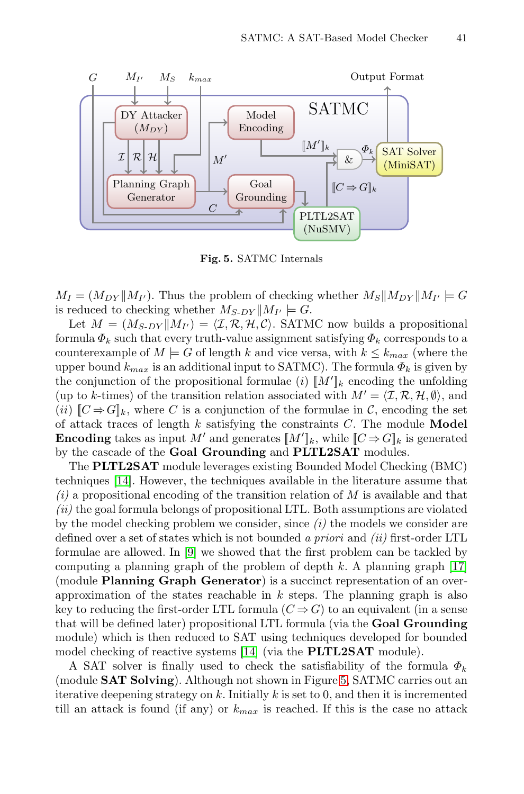<span id="page-10-0"></span>

**Fig. 5.** SATMC Internals

 $M_I = (M_{DY}|| M_{I'})$ . Thus the problem of checking whether  $M_S|| M_{DY}|| M_{I'} \models G$ is reduced to checking whether  $M_{S-DY}||M_{I'}| \in G$ .

Let  $M = (M_{S-DY}||M_{I}) = \langle \mathcal{I}, \mathcal{R}, \mathcal{H}, \mathcal{C} \rangle$ . SATMC now builds a propositional formula  $\Phi_k$  such that every truth-value assignment satisfying  $\Phi_k$  corresponds to a counterexample of  $M \models G$  of length k and vice versa, with  $k \leq k_{max}$  (where the upper bound  $k_{max}$  is an additional input to SATMC). The formula  $\Phi_k$  is given by the conjunction of the propositional formulae (i)  $[M']_k$  encoding the unfolding (up to k-times) of the transition relation associated with  $M' = \langle \mathcal{I}, \mathcal{R}, \mathcal{H}, \emptyset \rangle$ , and (ii)  $\llbracket C \Rightarrow G \rrbracket_k$ , where C is a conjunction of the formulae in C, encoding the set of attack traces of length k satisfying the constraints C. The module **Model Encod[in](#page-14-11)g** takes as input M' and generates  $[[M']_k$ , while  $[[C \Rightarrow G]]_k$  is generated by the cascade of the **Goal Grounding** and **PLTL2SAT** [m](#page-14-12)odules.

The **PLTL2SAT** module leverages existing Bounded Model Checking (BMC) techniques [14]. However, the techniques available in the literature assume that *(i)* a propositional encoding of the transition relation of M is available and that *(ii)* the goal formula belongs of propositional LTL. Both assumptions are violated by the model checking problem we consider, since *(i)* the models we consider are defined over a set [of s](#page-14-13)tates which is not bounded *a priori* and *(ii)* first-order LTL formulae are allowed. In [9] we showed that the first problem can be tackled by computing a planning graph of the [pro](#page-10-0)blem of depth  $k$ . A planning graph [17] (module **Planning Graph Generator**) is a succinct representation of an overapproximation of the states reachable in  $k$  steps. The planning graph is also key to reducing the first-order LTL formula  $(C \Rightarrow G)$  to an equivalent (in a sense that will be defined later) propositional LTL formula (via the **Goal Grounding** module) which is then reduced to SAT using techniques developed for bounded model checking of reactive systems [14] (via the **PLTL2SAT** module).

A SAT solver is finally used to check the satisfiability of the formula  $\Phi_k$ (module **SAT Solving**). Although not shown in Figure 5, SATMC carries out an iterative deepening strategy on  $k$ . Initially  $k$  is set to 0, and then it is incremented till an attack is found (if any) or  $k_{max}$  is reached. If this is the case no attack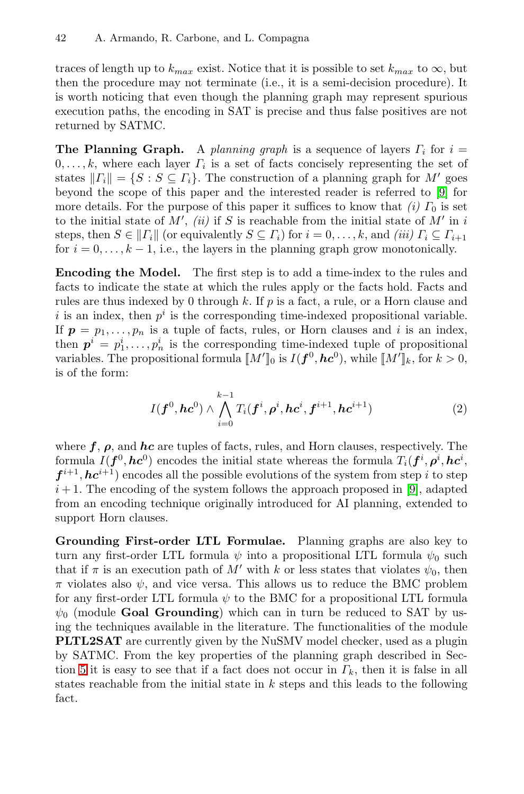traces of length up to  $k_{max}$  exist. Notice that it is possible to set  $k_{max}$  to  $\infty$ , but then the procedure may not terminate (i.e., it is a sem[i-d](#page-14-11)ecision procedure). It is worth noticing that even though the planning graph may represent spurious execution paths, the encoding in SAT is precise and thus false positives are not returned by SATMC.

**The Planning Graph.** A *planning graph* is a sequence of layers  $\Gamma_i$  for  $i =$  $0,\ldots,k$ , where each layer  $\Gamma_i$  is a set of facts concisely representing the set of states  $||T_i|| = \{S : S \subseteq T_i\}$ . The construction of a planning graph for M' goes beyond the scope of this paper and the interested reader is referred to [9] for more details. For the purpose of this paper it suffices to know that  $(i)$   $\Gamma_0$  is set to the initial state of  $M'$ , *(ii)* if S is reachable from the initial state of  $M'$  in i steps, then  $S \in ||T_i||$  (or equivalently  $S \subseteq T_i$ ) for  $i = 0, \ldots, k$ , and *(iii)*  $T_i \subseteq T_{i+1}$ for  $i = 0, \ldots, k - 1$ , i.e., the layers in the planning graph grow monotonically.

**Encoding the Model.** The first step is to add a time-index to the rules and facts to indicate the state at which the rules apply or the facts hold. Facts and rules are thus indexed by 0 through  $k$ . If  $p$  is a fact, a rule, or a Horn clause and i is an index, then  $p^i$  is the corresponding time-indexed propositional variable. If  $p = p_1, \ldots, p_n$  is a tuple of facts, rules, or Horn clauses and i is an index, then  $p^i = p_1^i, \ldots, p_n^i$  is the corresponding time-indexed tuple of propositional variables. The propositional formula  $[M']_0$  is  $I(f^0, h c^0)$ , while  $[M']_k$ , for  $k > 0$ , is of the form:

$$
I(\boldsymbol{f}^{0}, \boldsymbol{h}\boldsymbol{c}^{0}) \wedge \bigwedge_{i=0}^{k-1} T_{i}(\boldsymbol{f}^{i}, \boldsymbol{\rho}^{i}, \boldsymbol{h}\boldsymbol{c}^{i}, \boldsymbol{f}^{i+1}, \boldsymbol{h}\boldsymbol{c}^{i+1})
$$
(2)

<span id="page-11-0"></span>where *f*, *ρ*, and *hc* are tuples of facts, rules, and Horn clauses, respectively. The formula  $I(\bm{f}^0, \bm{h}\bm{c}^0)$  encodes the initial state whereas the formula  $T_i(\bm{f}^i, \bm{\rho}^i, \bm{h}\bm{c}^i)$  $f^{i+1}, \mathbf{h} \mathbf{c}^{i+1}$  encodes all the possible evolutions of the system from step i to step  $i+1$ . The encoding of the system follows the approach proposed in [9], adapted from an encoding technique originally introduced for AI planning, extended to support Horn clauses.

**Grounding First-order LTL Formulae.** Planning graphs are also key to turn any first-order LTL formula  $\psi$  into a propositional LTL formula  $\psi_0$  such that if  $\pi$  is an execution path of M' with k or less states that violates  $\psi_0$ , then  $\pi$  violates also  $\psi$ , and vice versa. This allows us to reduce the BMC problem for any first-order LTL formula  $\psi$  to the BMC for a propositional LTL formula  $\psi_0$  (module **Goal Grounding**) which can in turn be reduced to SAT by using the techniques available in the literature. The functionalities of the module **PLTL2SAT** are currently given by the NuSMV model checker, used as a plugin by SATMC. From the key properties of the planning graph described in Section 5 it is easy to see that if a fact does not occur in  $\Gamma_k$ , then it is false in all states reachable from the initial state in  $k$  steps and this leads to the following fact.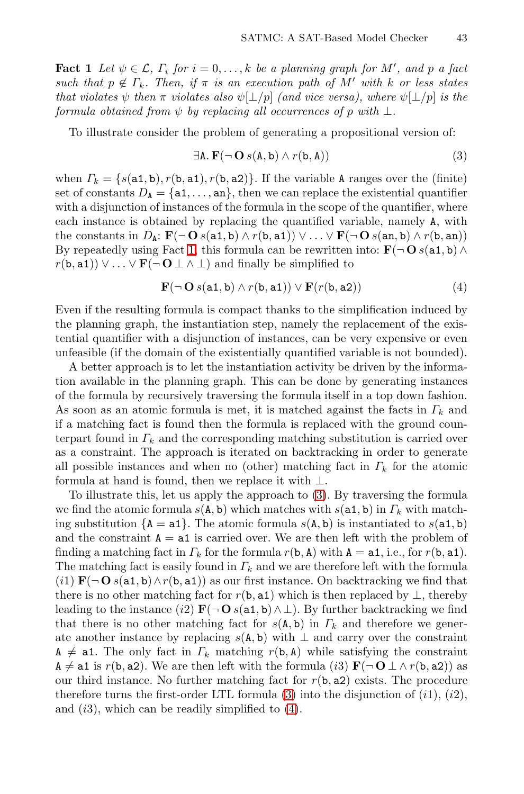**Fact 1** Let  $\psi \in \mathcal{L}$ ,  $\Gamma_i$  for  $i = 0, \ldots, k$  be a planning graph for M', and p a fact *such that*  $p \notin \Gamma_k$ . Then, if  $\pi$  *is an execution path of* M' *with* k *or less states that violates*  $\psi$  *then*  $\pi$  *violates also*  $\psi[\perp/p]$  *(and vice versa), where*  $\psi[\perp/p]$  *is the formula obtained from*  $\psi$  *by replacing all occurrences of* p *with*  $\bot$ *.* 

To il[lu](#page-11-0)strate consider the problem of generating a propositional version of:

<span id="page-12-1"></span><span id="page-12-0"></span>
$$
\exists \mathbf{A}. \, \mathbf{F}(\neg \, \mathbf{O} \, s(\mathbf{A}, \mathbf{b}) \land r(\mathbf{b}, \mathbf{A})) \tag{3}
$$

when  $\Gamma_k = \{s(\texttt{a1}, \texttt{b}), r(\texttt{b}, \texttt{a1}), r(\texttt{b}, \texttt{a2})\}.$  If the variable A ranges over the (finite) set of constants  $D_{\mathbf{A}} = {\mathbf{a_1}, \dots, \mathbf{a_n}}$ , then we can replace the existential quantifier with a disjunction of instances of the formula in the scope of the quantifier, where each instance is obtained by replacing the quantified variable, namely A, with the constants in  $D_A$ :  $\mathbf{F}(\neg \mathbf{O} s(\mathbf{a}1, \mathbf{b}) \wedge r(\mathbf{b}, \mathbf{a}1)) \vee \dots \vee \mathbf{F}(\neg \mathbf{O} s(\mathbf{a}n, \mathbf{b}) \wedge r(\mathbf{b}, \mathbf{a}n))$ By repeatedly using Fact 1, this formula can be rewritten into:  $\mathbf{F}(\neg \mathbf{O} s(\mathbf{a} \cdot \mathbf{I}, \mathbf{b})) \wedge$  $r(\mathbf{b}, \mathbf{a}1)$ )  $\vee \ldots \vee \mathbf{F}(\neg \mathbf{O} \perp \wedge \perp)$  and finally be simplified to

$$
\mathbf{F}(\neg \mathbf{O}\,s(\mathtt{a1},\mathtt{b})\land r(\mathtt{b},\mathtt{a1})) \lor \mathbf{F}(r(\mathtt{b},\mathtt{a2}))\tag{4}
$$

Even if the resulting formula is compact thanks to the simplification induced by the planning graph, the instantiation step, namely the replacement of the existential quantifier with a disjunction of instances, can be very expensive or even unfeasible (if the domain of the existentially quantified variable is not bounded).

A better approach is to let the instantiation activity be driven by the information available in the planning g[rap](#page-12-0)h. This can be done by generating instances of the formula by recursively traversing the formula itself in a top down fashion. As soon as an atomic formula is met, it is matched against the facts in  $\Gamma_k$  and if a matching fact is found then the formula is replaced with the ground counterpart found in  $\Gamma_k$  and the corresponding matching substitution is carried over as a constraint. The approach is iterated on backtracking in order to generate all possible instances and when no (other) matching fact in  $\Gamma_k$  for the atomic formula at hand is found, then we replace it with  $\perp$ .

To illustrate this, let us apply the approach to (3). By traversing the formula we find the atomic formula  $s(A, b)$  which matches with  $s(a1, b)$  in  $\Gamma_k$  with matching substitution  ${A = a1}$ . The atomic formula  $s(A, b)$  is instantiated to  $s(a1, b)$ and the constraint  $A = a1$  is carried over. We are then left with the problem of finding a matching fact in  $\Gamma_k$  for the formula  $r(\mathbf{b}, \mathbf{A})$  with  $\mathbf{A} = \mathbf{a} \mathbf{1}$ , i.e., for  $r(\mathbf{b}, \mathbf{a} \mathbf{1})$ . The matching fact is easily found in  $\Gamma_k$  and we are therefore left with the formula  $(i)$  **F**( $\neg$ **O**  $s$ (**a[1](#page-12-0)**, **b**) $\land r$ (**b**, **a1**)) as our first instance. On backtracking we find that there is no other matching [fa](#page-12-1)ct for  $r(\mathbf{b}, \mathbf{a}1)$  which is then replaced by  $\perp$ , thereby leading to the instance (i2)  $\mathbf{F}(\neg \mathbf{O} s(\mathbf{a1}, \mathbf{b}) \wedge \bot)$ . By further backtracking we find that there is no other matching fact for  $s(A, b)$  in  $\Gamma_k$  and therefore we generate another instance by replacing  $s(A, b)$  with  $\perp$  and carry over the constraint  $A \neq a1$ . The only fact in  $\Gamma_k$  matching  $r(b, A)$  while satisfying the constraint  $A \neq a1$  is  $r(b, a2)$ . We are then left with the formula (i3)  $\mathbf{F}(\neg \mathbf{O} \perp \wedge r(b, a2))$  as our third instance. No further matching fact for  $r(b, a2)$  exists. The procedure therefore turns the first-order LTL formula (3) into the disjunction of  $(i1)$ ,  $(i2)$ , and  $(i3)$ , which can be readily simplified to  $(4)$ .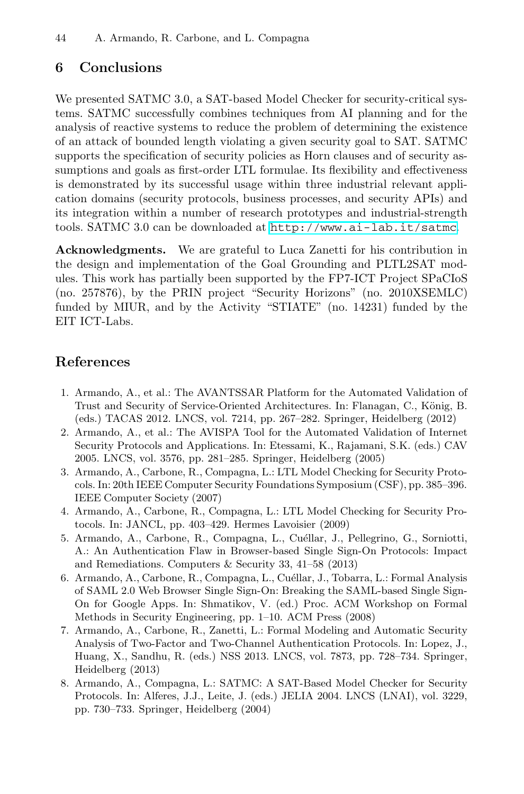### <span id="page-13-6"></span>**6 Conclusions**

<span id="page-13-2"></span>We presented SATMC 3.0, a SAT-based Model Checker for security-critical systems. SATMC successf[ully combines techniques from AI pl](http://www.ai-lab.it/satmc)anning and for the analysis of reactive systems to reduce the problem of determining the existence of an attack of bounded length violating a given security goal to SAT. SATMC supports the specification of security policies as Horn clauses and of security assumptions and goals as first-order LTL formulae. Its flexibility and effectiveness is demonstrated by its successful usage within three industrial relevant application domains (security protocols, business processes, and security APIs) and its integration within a number of research prototypes and industrial-strength tools. SATMC 3.0 can be downloaded at http://www.ai-lab.it/satmc.

<span id="page-13-8"></span><span id="page-13-3"></span><span id="page-13-1"></span>**Acknowledgments.** We are grateful to Luca Zanetti for his contribution in the design and implementation of the Goal Grounding and PLTL2SAT modules. This work has partially been supported by the FP7-ICT Project SPaCIoS (no. 257876), by the PRIN project "Security Horizons" (no. 2010XSEMLC) funded by MIUR, and by the Activity "STIATE" (no. 14231) funded by the EIT ICT-Labs.

## <span id="page-13-7"></span><span id="page-13-4"></span>**References**

- <span id="page-13-5"></span>1. Armando, A., et al.: The AVANTSSAR Platform for the Automated Validation of Trust and Security of Service-Oriented Architectures. In: Flanagan, C., König, B. (eds.) TACAS 2012. LNCS, vol. 7214, pp. 267–282. Springer, Heidelberg (2012)
- 2. Armando, A., et al.: The AVISPA Tool for the Automated Validation of Internet Security Protocols and Applications. In: Etessami, K., Rajamani, S.K. (eds.) CAV 2005. LNCS, vol. 3576, pp. 281–285. Springer, Heidelberg (2005)
- <span id="page-13-0"></span>3. Armando, A., Carbone, R., Compagna, L.: LTL Model Checking for Security Protocols. In: 20th IEEE Computer Security Foundations Symposium (CSF), pp. 385–396. IEEE Computer Society (2007)
- 4. Armando, A., Carbone, R., Compagna, L.: LTL Model Checking for Security Protocols. In: JANCL, pp. 403–429. Hermes Lavoisier (2009)
- 5. Armando, A., Carbone, R., Compagna, L., Cuéllar, J., Pellegrino, G., Sorniotti, A.: An Authentication Flaw in Browser-based Single Sign-On Protocols: Impact and Remediations. Computers & Security 33, 41–58 (2013)
- 6. Armando, A., Carbone, R., Compagna, L., Cuéllar, J., Tobarra, L.: Formal Analysis of SAML 2.0 Web Browser Single Sign-On: Breaking the SAML-based Single Sign-On for Google Apps. In: Shmatikov, V. (ed.) Proc. ACM Workshop on Formal Methods in Security Engineering, pp. 1–10. ACM Press (2008)
- 7. Armando, A., Carbone, R., Zanetti, L.: Formal Modeling and Automatic Security Analysis of Two-Factor and Two-Channel Authentication Protocols. In: Lopez, J., Huang, X., Sandhu, R. (eds.) NSS 2013. LNCS, vol. 7873, pp. 728–734. Springer, Heidelberg (2013)
- 8. Armando, A., Compagna, L.: SATMC: A SAT-Based Model Checker for Security Protocols. In: Alferes, J.J., Leite, J. (eds.) JELIA 2004. LNCS (LNAI), vol. 3229, pp. 730–733. Springer, Heidelberg (2004)